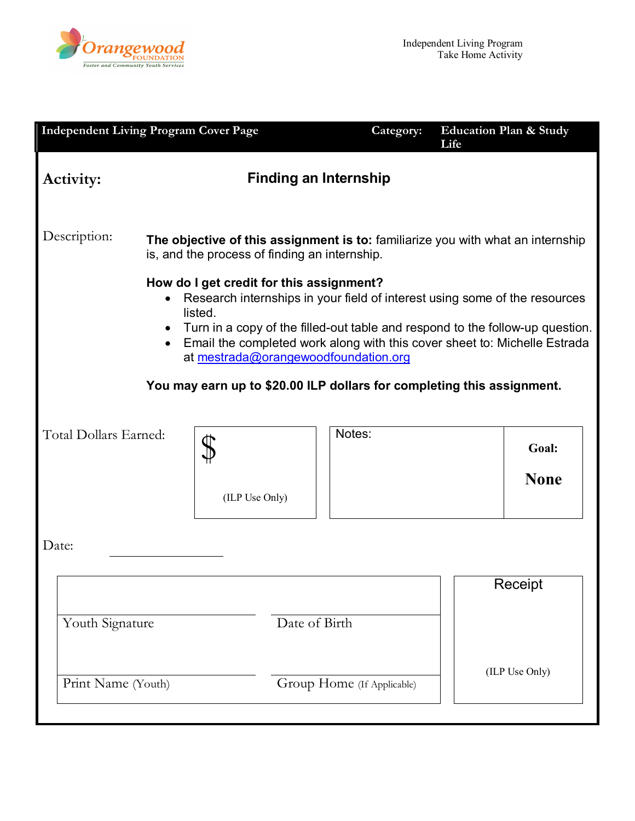

| <b>Independent Living Program Cover Page</b>                                                                                                                                                                                                                                                                                                                                                                                                                                   |                                                                                                                                  |                | Category:                  | <b>Education Plan &amp; Study</b><br>Life |  |  |
|--------------------------------------------------------------------------------------------------------------------------------------------------------------------------------------------------------------------------------------------------------------------------------------------------------------------------------------------------------------------------------------------------------------------------------------------------------------------------------|----------------------------------------------------------------------------------------------------------------------------------|----------------|----------------------------|-------------------------------------------|--|--|
| <b>Activity:</b>                                                                                                                                                                                                                                                                                                                                                                                                                                                               | <b>Finding an Internship</b>                                                                                                     |                |                            |                                           |  |  |
| Description:                                                                                                                                                                                                                                                                                                                                                                                                                                                                   | The objective of this assignment is to: familiarize you with what an internship<br>is, and the process of finding an internship. |                |                            |                                           |  |  |
| How do I get credit for this assignment?<br>Research internships in your field of interest using some of the resources<br>listed.<br>Turn in a copy of the filled-out table and respond to the follow-up question.<br>$\bullet$<br>Email the completed work along with this cover sheet to: Michelle Estrada<br>$\bullet$<br>at mestrada@orangewoodfoundation.org<br>You may earn up to \$20.00 ILP dollars for completing this assignment.<br>Notes:<br>Total Dollars Earned: |                                                                                                                                  |                |                            |                                           |  |  |
|                                                                                                                                                                                                                                                                                                                                                                                                                                                                                |                                                                                                                                  | (ILP Use Only) |                            | Goal:<br><b>None</b>                      |  |  |
| Date:                                                                                                                                                                                                                                                                                                                                                                                                                                                                          |                                                                                                                                  |                |                            |                                           |  |  |
|                                                                                                                                                                                                                                                                                                                                                                                                                                                                                |                                                                                                                                  |                |                            | Receipt                                   |  |  |
| Youth Signature                                                                                                                                                                                                                                                                                                                                                                                                                                                                |                                                                                                                                  | Date of Birth  |                            | (ILP Use Only)                            |  |  |
| Print Name (Youth)                                                                                                                                                                                                                                                                                                                                                                                                                                                             |                                                                                                                                  |                | Group Home (If Applicable) |                                           |  |  |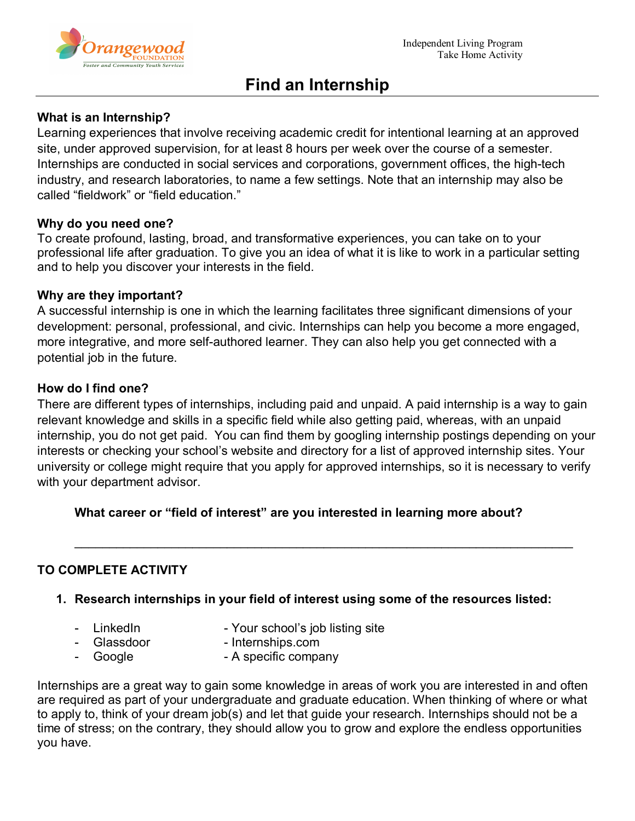

# **Find an Internship**

### **What is an Internship?**

Learning experiences that involve receiving academic credit for intentional learning at an approved site, under approved supervision, for at least 8 hours per week over the course of a semester. Internships are conducted in social services and corporations, government offices, the high-tech industry, and research laboratories, to name a few settings. Note that an internship may also be called "fieldwork" or "field education."

#### **Why do you need one?**

To create profound, lasting, broad, and transformative experiences, you can take on to your professional life after graduation. To give you an idea of what it is like to work in a particular setting and to help you discover your interests in the field.

#### **Why are they important?**

A successful internship is one in which the learning facilitates three significant dimensions of your development: personal, professional, and civic. Internships can help you become a more engaged, more integrative, and more self-authored learner. They can also help you get connected with a potential job in the future.

#### **How do I find one?**

There are different types of internships, including paid and unpaid. A paid internship is a way to gain relevant knowledge and skills in a specific field while also getting paid, whereas, with an unpaid internship, you do not get paid. You can find them by googling internship postings depending on your interests or checking your school's website and directory for a list of approved internship sites. Your university or college might require that you apply for approved internships, so it is necessary to verify with your department advisor.

\_\_\_\_\_\_\_\_\_\_\_\_\_\_\_\_\_\_\_\_\_\_\_\_\_\_\_\_\_\_\_\_\_\_\_\_\_\_\_\_\_\_\_\_\_\_\_\_\_\_\_\_\_\_\_\_\_\_\_\_\_\_\_\_\_\_\_\_\_\_\_\_

## **What career or "field of interest" are you interested in learning more about?**

## **TO COMPLETE ACTIVITY**

- **1. Research internships in your field of interest using some of the resources listed:** 
	-
- LinkedIn  **Your school's job listing site** 
	- - Glassdoor Internships.com
	- - Google  **A specific company**

Internships are a great way to gain some knowledge in areas of work you are interested in and often are required as part of your undergraduate and graduate education. When thinking of where or what to apply to, think of your dream job(s) and let that guide your research. Internships should not be a time of stress; on the contrary, they should allow you to grow and explore the endless opportunities you have.